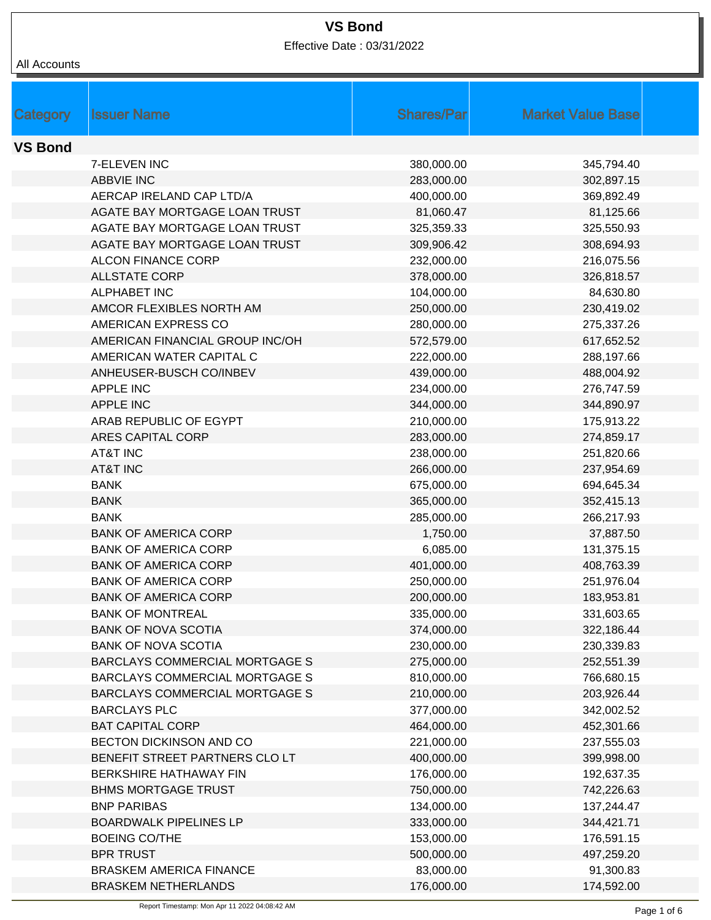Effective Date : 03/31/2022

|                | <b>Issuer Name</b>                    | <b>Shares/Parl</b>       | <b>Market Value Base</b> |  |
|----------------|---------------------------------------|--------------------------|--------------------------|--|
| Category       |                                       |                          |                          |  |
| <b>VS Bond</b> |                                       |                          |                          |  |
|                | <b>7-ELEVEN INC</b>                   | 380,000.00               | 345,794.40               |  |
|                | <b>ABBVIE INC</b>                     | 283,000.00               | 302,897.15               |  |
|                | AERCAP IRELAND CAP LTD/A              | 400,000.00               | 369,892.49               |  |
|                | AGATE BAY MORTGAGE LOAN TRUST         | 81,060.47                | 81,125.66                |  |
|                | AGATE BAY MORTGAGE LOAN TRUST         | 325,359.33               | 325,550.93               |  |
|                | AGATE BAY MORTGAGE LOAN TRUST         | 309,906.42               | 308,694.93               |  |
|                | <b>ALCON FINANCE CORP</b>             | 232,000.00               | 216,075.56               |  |
|                | <b>ALLSTATE CORP</b>                  | 378,000.00               | 326,818.57               |  |
|                | <b>ALPHABET INC</b>                   | 104,000.00               | 84,630.80                |  |
|                | AMCOR FLEXIBLES NORTH AM              | 250,000.00               | 230,419.02               |  |
|                | AMERICAN EXPRESS CO                   | 280,000.00               | 275,337.26               |  |
|                | AMERICAN FINANCIAL GROUP INC/OH       | 572,579.00               | 617,652.52               |  |
|                | AMERICAN WATER CAPITAL C              |                          | 288,197.66               |  |
|                | ANHEUSER-BUSCH CO/INBEV               | 222,000.00<br>439,000.00 |                          |  |
|                | <b>APPLE INC</b>                      |                          | 488,004.92               |  |
|                |                                       | 234,000.00               | 276,747.59               |  |
|                | <b>APPLE INC</b>                      | 344,000.00               | 344,890.97               |  |
|                | ARAB REPUBLIC OF EGYPT                | 210,000.00               | 175,913.22               |  |
|                | ARES CAPITAL CORP                     | 283,000.00               | 274,859.17               |  |
|                | <b>AT&amp;T INC</b>                   | 238,000.00               | 251,820.66               |  |
|                | <b>AT&amp;T INC</b>                   | 266,000.00               | 237,954.69               |  |
|                | <b>BANK</b>                           | 675,000.00               | 694,645.34               |  |
|                | <b>BANK</b>                           | 365,000.00               | 352,415.13               |  |
|                | <b>BANK</b>                           | 285,000.00               | 266,217.93               |  |
|                | <b>BANK OF AMERICA CORP</b>           | 1,750.00                 | 37,887.50                |  |
|                | <b>BANK OF AMERICA CORP</b>           | 6,085.00                 | 131,375.15               |  |
|                | <b>BANK OF AMERICA CORP</b>           | 401,000.00               | 408,763.39               |  |
|                | <b>BANK OF AMERICA CORP</b>           | 250,000.00               | 251,976.04               |  |
|                | <b>BANK OF AMERICA CORP</b>           | 200,000.00               | 183,953.81               |  |
|                | <b>BANK OF MONTREAL</b>               | 335,000.00               | 331,603.65               |  |
|                | <b>BANK OF NOVA SCOTIA</b>            | 374,000.00               | 322,186.44               |  |
|                | <b>BANK OF NOVA SCOTIA</b>            | 230,000.00               | 230,339.83               |  |
|                | <b>BARCLAYS COMMERCIAL MORTGAGE S</b> | 275,000.00               | 252,551.39               |  |
|                | BARCLAYS COMMERCIAL MORTGAGE S        | 810,000.00               | 766,680.15               |  |
|                | <b>BARCLAYS COMMERCIAL MORTGAGE S</b> | 210,000.00               | 203,926.44               |  |
|                | <b>BARCLAYS PLC</b>                   | 377,000.00               | 342,002.52               |  |
|                | <b>BAT CAPITAL CORP</b>               | 464,000.00               | 452,301.66               |  |
|                | BECTON DICKINSON AND CO               | 221,000.00               | 237,555.03               |  |
|                | BENEFIT STREET PARTNERS CLO LT        | 400,000.00               | 399,998.00               |  |
|                | BERKSHIRE HATHAWAY FIN                | 176,000.00               | 192,637.35               |  |
|                | <b>BHMS MORTGAGE TRUST</b>            | 750,000.00               | 742,226.63               |  |
|                | <b>BNP PARIBAS</b>                    | 134,000.00               | 137,244.47               |  |
|                | <b>BOARDWALK PIPELINES LP</b>         | 333,000.00               | 344,421.71               |  |
|                | <b>BOEING CO/THE</b>                  | 153,000.00               | 176,591.15               |  |
|                | <b>BPR TRUST</b>                      | 500,000.00               | 497,259.20               |  |
|                | <b>BRASKEM AMERICA FINANCE</b>        | 83,000.00                | 91,300.83                |  |
|                | <b>BRASKEM NETHERLANDS</b>            | 176,000.00               | 174,592.00               |  |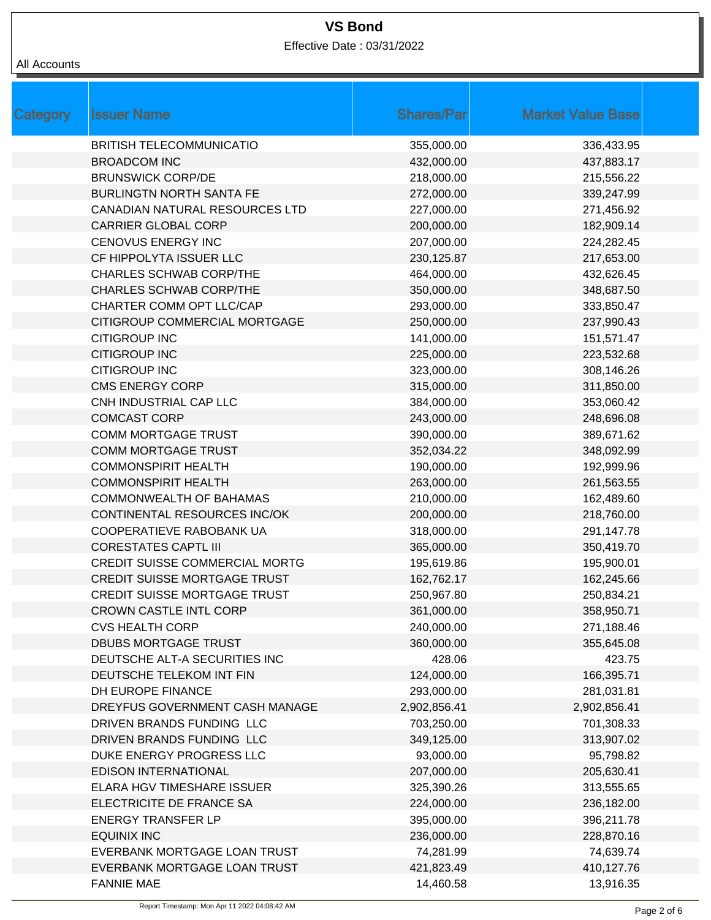Effective Date : 03/31/2022

| Category | <b>Issuer Name</b>                  | <b>Shares/Par</b> | <b>Market Value Base</b> |
|----------|-------------------------------------|-------------------|--------------------------|
|          | <b>BRITISH TELECOMMUNICATIO</b>     | 355,000.00        | 336,433.95               |
|          | <b>BROADCOM INC</b>                 | 432,000.00        | 437,883.17               |
|          | <b>BRUNSWICK CORP/DE</b>            | 218,000.00        | 215,556.22               |
|          | <b>BURLINGTN NORTH SANTA FE</b>     | 272,000.00        | 339,247.99               |
|          | CANADIAN NATURAL RESOURCES LTD      | 227,000.00        | 271,456.92               |
|          | <b>CARRIER GLOBAL CORP</b>          | 200,000.00        | 182,909.14               |
|          | <b>CENOVUS ENERGY INC</b>           | 207,000.00        | 224,282.45               |
|          | CF HIPPOLYTA ISSUER LLC             | 230,125.87        | 217,653.00               |
|          | <b>CHARLES SCHWAB CORP/THE</b>      | 464,000.00        | 432,626.45               |
|          | <b>CHARLES SCHWAB CORP/THE</b>      | 350,000.00        | 348,687.50               |
|          | CHARTER COMM OPT LLC/CAP            | 293,000.00        | 333,850.47               |
|          | CITIGROUP COMMERCIAL MORTGAGE       | 250,000.00        | 237,990.43               |
|          | <b>CITIGROUP INC</b>                | 141,000.00        | 151,571.47               |
|          | <b>CITIGROUP INC</b>                | 225,000.00        | 223,532.68               |
|          | <b>CITIGROUP INC</b>                | 323,000.00        | 308,146.26               |
|          | <b>CMS ENERGY CORP</b>              | 315,000.00        | 311,850.00               |
|          | CNH INDUSTRIAL CAP LLC              | 384,000.00        | 353,060.42               |
|          | <b>COMCAST CORP</b>                 | 243,000.00        | 248,696.08               |
|          | <b>COMM MORTGAGE TRUST</b>          | 390,000.00        | 389,671.62               |
|          | <b>COMM MORTGAGE TRUST</b>          | 352,034.22        | 348,092.99               |
|          | <b>COMMONSPIRIT HEALTH</b>          | 190,000.00        | 192,999.96               |
|          | <b>COMMONSPIRIT HEALTH</b>          | 263,000.00        | 261,563.55               |
|          | COMMONWEALTH OF BAHAMAS             | 210,000.00        | 162,489.60               |
|          | CONTINENTAL RESOURCES INC/OK        | 200,000.00        | 218,760.00               |
|          | COOPERATIEVE RABOBANK UA            | 318,000.00        | 291,147.78               |
|          | <b>CORESTATES CAPTL III</b>         | 365,000.00        | 350,419.70               |
|          | CREDIT SUISSE COMMERCIAL MORTG      | 195,619.86        | 195,900.01               |
|          | <b>CREDIT SUISSE MORTGAGE TRUST</b> | 162,762.17        | 162,245.66               |
|          | <b>CREDIT SUISSE MORTGAGE TRUST</b> | 250,967.80        | 250,834.21               |
|          | <b>CROWN CASTLE INTL CORP</b>       | 361,000.00        | 358,950.71               |
|          | <b>CVS HEALTH CORP</b>              | 240,000.00        | 271,188.46               |
|          | <b>DBUBS MORTGAGE TRUST</b>         | 360,000.00        | 355,645.08               |
|          | DEUTSCHE ALT-A SECURITIES INC       | 428.06            | 423.75                   |
|          | DEUTSCHE TELEKOM INT FIN            | 124,000.00        | 166,395.71               |
|          | DH EUROPE FINANCE                   | 293,000.00        | 281,031.81               |
|          | DREYFUS GOVERNMENT CASH MANAGE      | 2,902,856.41      | 2,902,856.41             |
|          | DRIVEN BRANDS FUNDING LLC           | 703,250.00        | 701,308.33               |
|          | DRIVEN BRANDS FUNDING LLC           | 349,125.00        | 313,907.02               |
|          | DUKE ENERGY PROGRESS LLC            | 93,000.00         | 95,798.82                |
|          | <b>EDISON INTERNATIONAL</b>         | 207,000.00        | 205,630.41               |
|          | ELARA HGV TIMESHARE ISSUER          | 325,390.26        | 313,555.65               |
|          | ELECTRICITE DE FRANCE SA            | 224,000.00        | 236,182.00               |
|          | <b>ENERGY TRANSFER LP</b>           | 395,000.00        | 396,211.78               |
|          | <b>EQUINIX INC</b>                  | 236,000.00        | 228,870.16               |
|          | EVERBANK MORTGAGE LOAN TRUST        | 74,281.99         | 74,639.74                |
|          | EVERBANK MORTGAGE LOAN TRUST        | 421,823.49        | 410,127.76               |
|          | <b>FANNIE MAE</b>                   | 14,460.58         | 13,916.35                |
|          |                                     |                   |                          |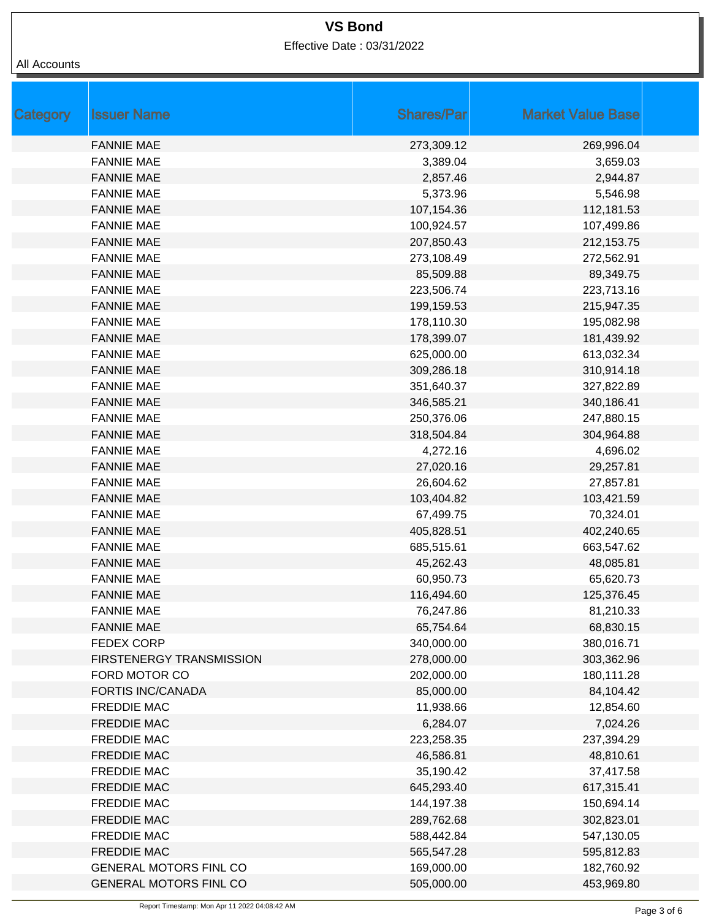Effective Date : 03/31/2022

| Category | <b>Issuer Name</b>            | <b>Shares/Par</b> | <b>Market Value Base</b> |  |
|----------|-------------------------------|-------------------|--------------------------|--|
|          | <b>FANNIE MAE</b>             | 273,309.12        | 269,996.04               |  |
|          | <b>FANNIE MAE</b>             | 3,389.04          | 3,659.03                 |  |
|          | <b>FANNIE MAE</b>             | 2,857.46          | 2,944.87                 |  |
|          | <b>FANNIE MAE</b>             | 5,373.96          | 5,546.98                 |  |
|          | <b>FANNIE MAE</b>             | 107,154.36        | 112,181.53               |  |
|          | <b>FANNIE MAE</b>             | 100,924.57        | 107,499.86               |  |
|          | <b>FANNIE MAE</b>             | 207,850.43        | 212,153.75               |  |
|          | <b>FANNIE MAE</b>             | 273,108.49        | 272,562.91               |  |
|          | <b>FANNIE MAE</b>             | 85,509.88         | 89,349.75                |  |
|          | <b>FANNIE MAE</b>             | 223,506.74        | 223,713.16               |  |
|          | <b>FANNIE MAE</b>             | 199,159.53        | 215,947.35               |  |
|          | <b>FANNIE MAE</b>             | 178,110.30        | 195,082.98               |  |
|          | <b>FANNIE MAE</b>             | 178,399.07        | 181,439.92               |  |
|          | <b>FANNIE MAE</b>             | 625,000.00        | 613,032.34               |  |
|          | <b>FANNIE MAE</b>             | 309,286.18        | 310,914.18               |  |
|          | <b>FANNIE MAE</b>             | 351,640.37        | 327,822.89               |  |
|          | <b>FANNIE MAE</b>             | 346,585.21        | 340,186.41               |  |
|          | <b>FANNIE MAE</b>             | 250,376.06        | 247,880.15               |  |
|          | <b>FANNIE MAE</b>             | 318,504.84        | 304,964.88               |  |
|          | <b>FANNIE MAE</b>             | 4,272.16          | 4,696.02                 |  |
|          | <b>FANNIE MAE</b>             | 27,020.16         | 29,257.81                |  |
|          | <b>FANNIE MAE</b>             | 26,604.62         | 27,857.81                |  |
|          | <b>FANNIE MAE</b>             | 103,404.82        | 103,421.59               |  |
|          | <b>FANNIE MAE</b>             | 67,499.75         | 70,324.01                |  |
|          | <b>FANNIE MAE</b>             | 405,828.51        | 402,240.65               |  |
|          | <b>FANNIE MAE</b>             | 685,515.61        | 663,547.62               |  |
|          | <b>FANNIE MAE</b>             | 45,262.43         | 48,085.81                |  |
|          | <b>FANNIE MAE</b>             | 60,950.73         | 65,620.73                |  |
|          | <b>FANNIE MAE</b>             | 116,494.60        | 125,376.45               |  |
|          | <b>FANNIE MAE</b>             | 76,247.86         | 81,210.33                |  |
|          | <b>FANNIE MAE</b>             | 65,754.64         | 68,830.15                |  |
|          | <b>FEDEX CORP</b>             | 340,000.00        | 380,016.71               |  |
|          | FIRSTENERGY TRANSMISSION      | 278,000.00        | 303,362.96               |  |
|          | FORD MOTOR CO                 | 202,000.00        | 180,111.28               |  |
|          | <b>FORTIS INC/CANADA</b>      | 85,000.00         | 84,104.42                |  |
|          | <b>FREDDIE MAC</b>            | 11,938.66         | 12,854.60                |  |
|          | <b>FREDDIE MAC</b>            | 6,284.07          | 7,024.26                 |  |
|          | <b>FREDDIE MAC</b>            | 223,258.35        | 237,394.29               |  |
|          | <b>FREDDIE MAC</b>            | 46,586.81         | 48,810.61                |  |
|          | <b>FREDDIE MAC</b>            | 35,190.42         | 37,417.58                |  |
|          | <b>FREDDIE MAC</b>            | 645,293.40        | 617,315.41               |  |
|          | <b>FREDDIE MAC</b>            | 144,197.38        | 150,694.14               |  |
|          | <b>FREDDIE MAC</b>            | 289,762.68        | 302,823.01               |  |
|          | <b>FREDDIE MAC</b>            | 588,442.84        | 547,130.05               |  |
|          | <b>FREDDIE MAC</b>            | 565,547.28        | 595,812.83               |  |
|          | <b>GENERAL MOTORS FINL CO</b> | 169,000.00        | 182,760.92               |  |
|          | <b>GENERAL MOTORS FINL CO</b> | 505,000.00        | 453,969.80               |  |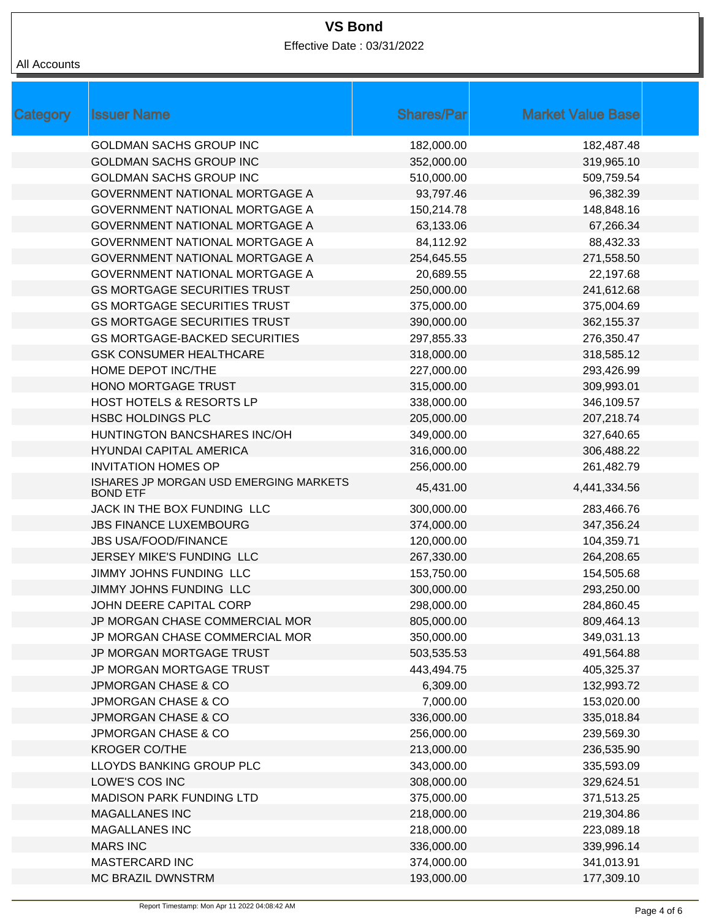Effective Date : 03/31/2022

| Category | <b>Issuer Name</b>                                        | <b>Shares/Par</b> | <b>Market Value Base</b> |
|----------|-----------------------------------------------------------|-------------------|--------------------------|
|          | <b>GOLDMAN SACHS GROUP INC</b>                            | 182,000.00        | 182,487.48               |
|          | <b>GOLDMAN SACHS GROUP INC</b>                            | 352,000.00        | 319,965.10               |
|          | <b>GOLDMAN SACHS GROUP INC</b>                            | 510,000.00        | 509,759.54               |
|          | <b>GOVERNMENT NATIONAL MORTGAGE A</b>                     | 93,797.46         | 96,382.39                |
|          | <b>GOVERNMENT NATIONAL MORTGAGE A</b>                     | 150,214.78        | 148,848.16               |
|          | GOVERNMENT NATIONAL MORTGAGE A                            | 63,133.06         | 67,266.34                |
|          | GOVERNMENT NATIONAL MORTGAGE A                            | 84,112.92         | 88,432.33                |
|          | <b>GOVERNMENT NATIONAL MORTGAGE A</b>                     | 254,645.55        | 271,558.50               |
|          | GOVERNMENT NATIONAL MORTGAGE A                            | 20,689.55         | 22,197.68                |
|          | <b>GS MORTGAGE SECURITIES TRUST</b>                       | 250,000.00        | 241,612.68               |
|          | <b>GS MORTGAGE SECURITIES TRUST</b>                       | 375,000.00        | 375,004.69               |
|          | <b>GS MORTGAGE SECURITIES TRUST</b>                       | 390,000.00        | 362,155.37               |
|          | <b>GS MORTGAGE-BACKED SECURITIES</b>                      | 297,855.33        | 276,350.47               |
|          | <b>GSK CONSUMER HEALTHCARE</b>                            | 318,000.00        | 318,585.12               |
|          | HOME DEPOT INC/THE                                        | 227,000.00        | 293,426.99               |
|          | HONO MORTGAGE TRUST                                       | 315,000.00        | 309,993.01               |
|          | <b>HOST HOTELS &amp; RESORTS LP</b>                       | 338,000.00        | 346,109.57               |
|          | <b>HSBC HOLDINGS PLC</b>                                  | 205,000.00        | 207,218.74               |
|          | HUNTINGTON BANCSHARES INC/OH                              | 349,000.00        | 327,640.65               |
|          | HYUNDAI CAPITAL AMERICA                                   | 316,000.00        | 306,488.22               |
|          | <b>INVITATION HOMES OP</b>                                | 256,000.00        | 261,482.79               |
|          | ISHARES JP MORGAN USD EMERGING MARKETS<br><b>BOND ETF</b> | 45,431.00         | 4,441,334.56             |
|          | JACK IN THE BOX FUNDING LLC                               | 300,000.00        | 283,466.76               |
|          | <b>JBS FINANCE LUXEMBOURG</b>                             | 374,000.00        | 347,356.24               |
|          | <b>JBS USA/FOOD/FINANCE</b>                               | 120,000.00        | 104,359.71               |
|          | JERSEY MIKE'S FUNDING LLC                                 | 267,330.00        | 264,208.65               |
|          | JIMMY JOHNS FUNDING LLC                                   | 153,750.00        | 154,505.68               |
|          | JIMMY JOHNS FUNDING LLC                                   | 300,000.00        | 293,250.00               |
|          | JOHN DEERE CAPITAL CORP                                   | 298,000.00        | 284,860.45               |
|          | JP MORGAN CHASE COMMERCIAL MOR                            | 805,000.00        | 809,464.13               |
|          | JP MORGAN CHASE COMMERCIAL MOR                            | 350,000.00        | 349,031.13               |
|          | JP MORGAN MORTGAGE TRUST                                  | 503,535.53        | 491,564.88               |
|          | JP MORGAN MORTGAGE TRUST                                  | 443,494.75        | 405,325.37               |
|          | JPMORGAN CHASE & CO                                       | 6,309.00          | 132,993.72               |
|          | JPMORGAN CHASE & CO                                       | 7,000.00          | 153,020.00               |
|          | JPMORGAN CHASE & CO                                       | 336,000.00        | 335,018.84               |
|          | JPMORGAN CHASE & CO                                       | 256,000.00        | 239,569.30               |
|          | <b>KROGER CO/THE</b>                                      | 213,000.00        | 236,535.90               |
|          | LLOYDS BANKING GROUP PLC                                  | 343,000.00        | 335,593.09               |
|          | LOWE'S COS INC                                            | 308,000.00        | 329,624.51               |
|          | <b>MADISON PARK FUNDING LTD</b>                           | 375,000.00        | 371,513.25               |
|          | <b>MAGALLANES INC</b>                                     | 218,000.00        | 219,304.86               |
|          | <b>MAGALLANES INC</b>                                     | 218,000.00        | 223,089.18               |
|          | <b>MARS INC</b>                                           | 336,000.00        | 339,996.14               |
|          | <b>MASTERCARD INC</b>                                     | 374,000.00        | 341,013.91               |
|          | MC BRAZIL DWNSTRM                                         | 193,000.00        | 177,309.10               |
|          |                                                           |                   |                          |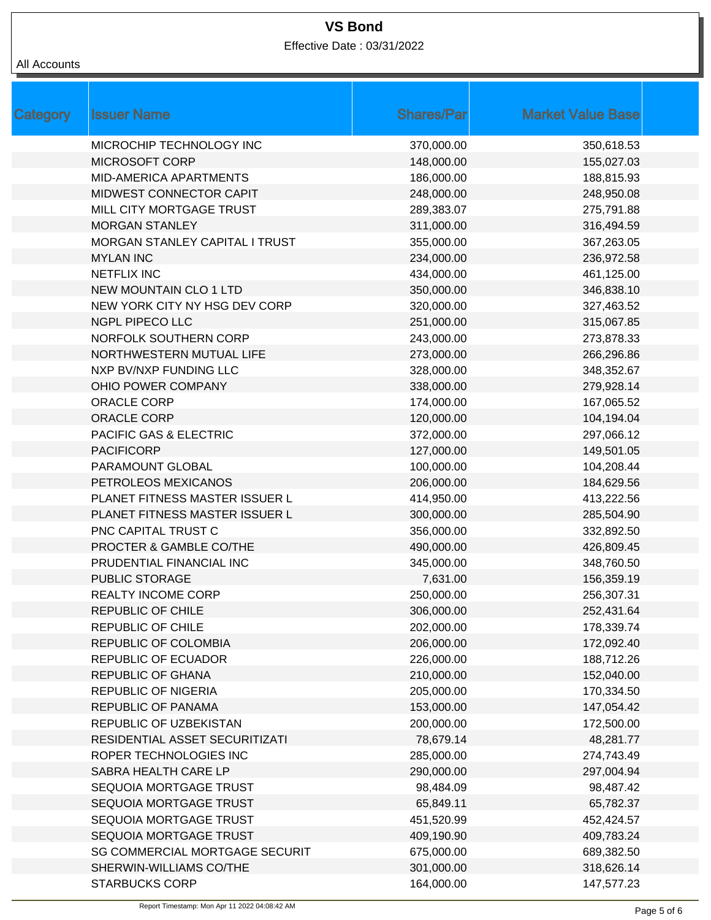Effective Date : 03/31/2022

| Category | <b>Issuer Name</b>             | <b>Shares/Par</b> | <b>Market Value Base</b> |
|----------|--------------------------------|-------------------|--------------------------|
|          | MICROCHIP TECHNOLOGY INC       | 370,000.00        | 350,618.53               |
|          | <b>MICROSOFT CORP</b>          | 148,000.00        | 155,027.03               |
|          | MID-AMERICA APARTMENTS         | 186,000.00        | 188,815.93               |
|          | MIDWEST CONNECTOR CAPIT        | 248,000.00        | 248,950.08               |
|          | MILL CITY MORTGAGE TRUST       | 289,383.07        | 275,791.88               |
|          | <b>MORGAN STANLEY</b>          | 311,000.00        | 316,494.59               |
|          | MORGAN STANLEY CAPITAL I TRUST | 355,000.00        | 367,263.05               |
|          | <b>MYLAN INC</b>               | 234,000.00        | 236,972.58               |
|          | <b>NETFLIX INC</b>             | 434,000.00        | 461,125.00               |
|          | <b>NEW MOUNTAIN CLO 1 LTD</b>  | 350,000.00        | 346,838.10               |
|          | NEW YORK CITY NY HSG DEV CORP  | 320,000.00        | 327,463.52               |
|          | <b>NGPL PIPECO LLC</b>         | 251,000.00        | 315,067.85               |
|          | NORFOLK SOUTHERN CORP          | 243,000.00        | 273,878.33               |
|          | NORTHWESTERN MUTUAL LIFE       | 273,000.00        | 266,296.86               |
|          | NXP BV/NXP FUNDING LLC         | 328,000.00        | 348,352.67               |
|          | OHIO POWER COMPANY             | 338,000.00        | 279,928.14               |
|          | <b>ORACLE CORP</b>             | 174,000.00        | 167,065.52               |
|          | <b>ORACLE CORP</b>             | 120,000.00        | 104,194.04               |
|          | PACIFIC GAS & ELECTRIC         | 372,000.00        | 297,066.12               |
|          | <b>PACIFICORP</b>              | 127,000.00        | 149,501.05               |
|          | PARAMOUNT GLOBAL               | 100,000.00        | 104,208.44               |
|          | PETROLEOS MEXICANOS            | 206,000.00        | 184,629.56               |
|          | PLANET FITNESS MASTER ISSUER L | 414,950.00        | 413,222.56               |
|          | PLANET FITNESS MASTER ISSUER L | 300,000.00        | 285,504.90               |
|          | PNC CAPITAL TRUST C            | 356,000.00        | 332,892.50               |
|          | PROCTER & GAMBLE CO/THE        | 490,000.00        | 426,809.45               |
|          | PRUDENTIAL FINANCIAL INC       | 345,000.00        | 348,760.50               |
|          | PUBLIC STORAGE                 | 7,631.00          | 156,359.19               |
|          | <b>REALTY INCOME CORP</b>      | 250,000.00        | 256,307.31               |
|          | <b>REPUBLIC OF CHILE</b>       | 306,000.00        | 252,431.64               |
|          | <b>REPUBLIC OF CHILE</b>       | 202,000.00        | 178,339.74               |
|          | REPUBLIC OF COLOMBIA           | 206,000.00        | 172,092.40               |
|          | <b>REPUBLIC OF ECUADOR</b>     | 226,000.00        | 188,712.26               |
|          | <b>REPUBLIC OF GHANA</b>       | 210,000.00        | 152,040.00               |
|          | REPUBLIC OF NIGERIA            | 205,000.00        | 170,334.50               |
|          | REPUBLIC OF PANAMA             | 153,000.00        | 147,054.42               |
|          | REPUBLIC OF UZBEKISTAN         | 200,000.00        | 172,500.00               |
|          | RESIDENTIAL ASSET SECURITIZATI | 78,679.14         | 48,281.77                |
|          | ROPER TECHNOLOGIES INC         | 285,000.00        | 274,743.49               |
|          | SABRA HEALTH CARE LP           | 290,000.00        | 297,004.94               |
|          | SEQUOIA MORTGAGE TRUST         | 98,484.09         | 98,487.42                |
|          | SEQUOIA MORTGAGE TRUST         | 65,849.11         | 65,782.37                |
|          | SEQUOIA MORTGAGE TRUST         | 451,520.99        | 452,424.57               |
|          | SEQUOIA MORTGAGE TRUST         | 409,190.90        | 409,783.24               |
|          | SG COMMERCIAL MORTGAGE SECURIT | 675,000.00        | 689,382.50               |
|          | SHERWIN-WILLIAMS CO/THE        | 301,000.00        | 318,626.14               |
|          | STARBUCKS CORP                 | 164,000.00        | 147,577.23               |
|          |                                |                   |                          |